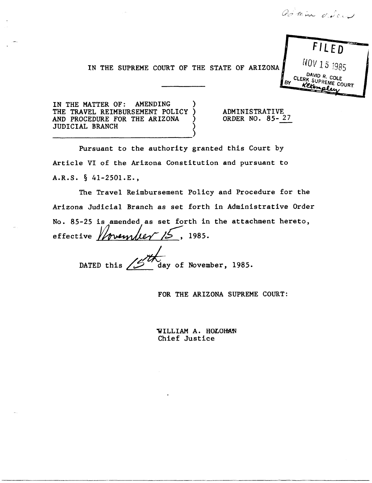admin déces

**F/ LED** 

NOV 15 <sup>1985</sup>

 $CLERK$   $CHK$ <sup>R.</sup> COLE **BY** *KEVE* COURT

IN THE SUPREME COURT OF THE STATE OF ARIZONA

IN THE MATTER OF: AMENDING THE TRAVEL REIMBURSEMENT POLICY AND PROCEDURE FOR THE ARIZONA JUDICIAL BRANCH ) ----------------------------)

ADMINISTRATIVE ORDER NO. 85- 27

Pursuant to the authority granted this Court by Article VI of the Arizona Constitution and pursuant to A.R.S. § 41-250l.E.,

The Travel Reimbursement Policy and Procedure for the Arizona Judicial Branch as set forth in Administrative Order No. 85-25 is amended as set forth in the attachment hereto,<br>effective *foremuler* /2, 1985.

DATED this  $\mu$  day of November, 1985.

FOR THE ARIZONA SUPREME COURT:

WILLIAM A. HOLOHAN Chief Justice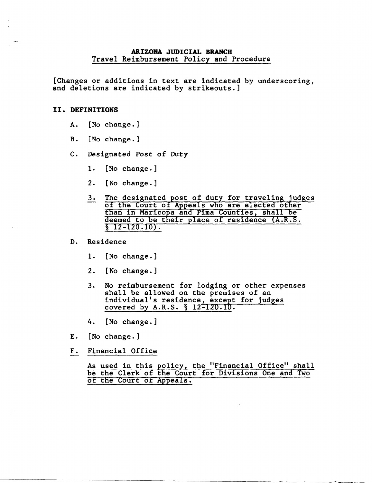## **ARIZONA JUDICIAL BRANCH**  Travel Reimbursement Policy and Procedure

[Changes or additions in text are indicated by underscoring, and deletions are indicated by strikeouts.]

#### **II. DEFINITIONS**

- A. [No change.]
- B. [No change.]
- C. Designated Post of Duty
	- 1. [No change.]
	- 2. [No change.]
	- 3. The designated post of duty for traveling judges<br>of the Court of Appeals who are elected other than in Maricopa and Pima Counties, shall be deemed to be their place of residence (A.R.S.  $\sqrt{2-120.10}$ .

# D. Residence

- 1. [No change.]
- 2. [No change.]
- 3. No reimbursement for lodging or other expenses shall be allowed on the premises of an individual's residence, except for judges covered by A.R.S. § 12-120.10.
- 4. [No change.]
- E. [No change.]
- F. Financial Office

As used in this policy, the "Financial Office" shall be the Clerk of the Court for Divisions One and Two of the Court of Appeals.

-------------- - - -------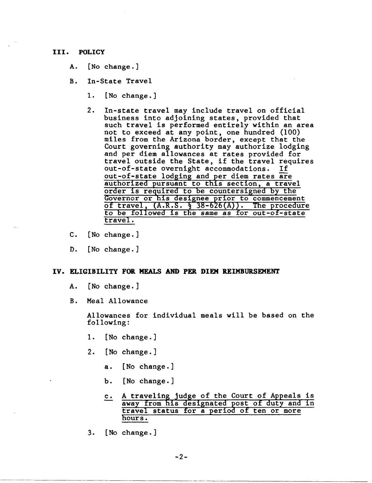#### **III. POLICY**

- A. [No change.]
- B. In-State Travel
	- 1. [No change.]
	- 2. In-state travel may include travel on official business into adjoining states, provided that such travel is performed entirely within an area not to exceed at any point, one hundred (100) miles from the Arizona border, except that the Court governing authority may authorize lodging and per diem allowances at rates provided for travel outside the State, if the travel requires out-of-state overnight accommodations. If out-of-state lodging and per diem rates are<br>authorized pursuant to this section, a travel order is required to be countersigned by the Governor or his designee prior to commencement of travel,  $(A.R.S. \S 38-626(A))$ . The procedure to be followed is the same as for out-of-state travel.
- c. [No change.]
- D. [No change.]

### **IV. ELIGIBILITY FOR MEALS AND PER. DIEM REIMBURSEMENT**

- A. [No change.]
- B. Meal Allowance

Allowances for individual meals will be based on the following:

- 1. [No change.]
- 2. [No change. ]
	- a. [No change.]
	- b. [No change.]
	- c. A traveling judge of the Court of Appeals is away from his designated post of duty and in travel status for a period of ten or more hours.
- 3. [No change.]